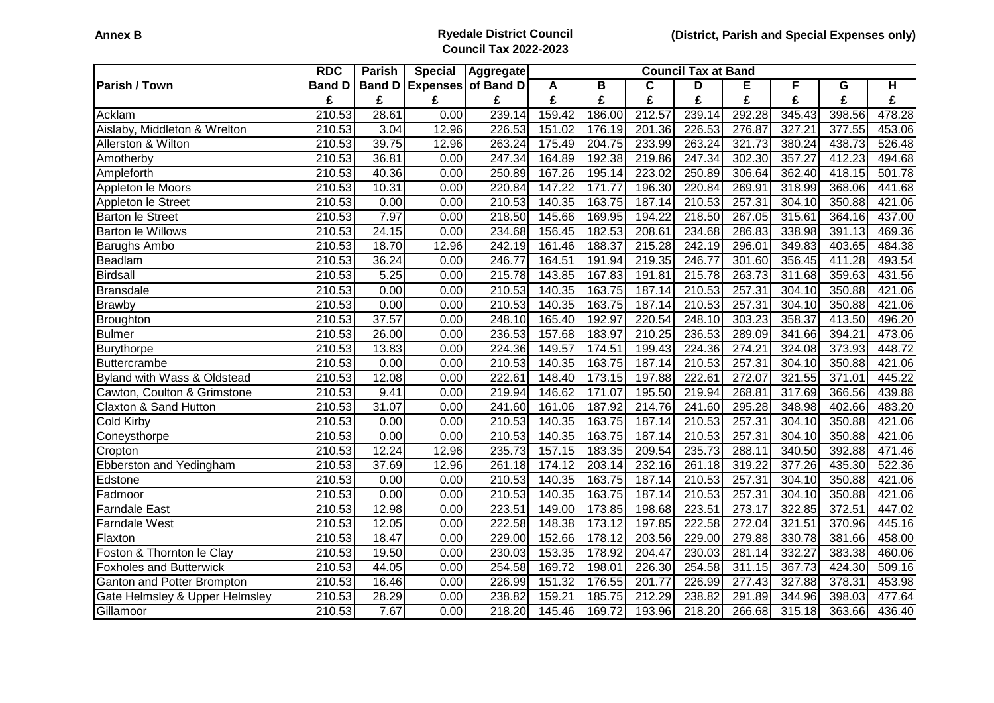## **Annex B Ryedale District Council Council Tax 2022-2023**

|                                        | <b>RDC</b>          | <b>Parish</b> | <b>Special</b> | Aggregate          | <b>Council Tax at Band</b> |        |                     |        |                     |        |                      |        |
|----------------------------------------|---------------------|---------------|----------------|--------------------|----------------------------|--------|---------------------|--------|---------------------|--------|----------------------|--------|
| Parish / Town                          | <b>Band D</b>       | <b>Band D</b> |                | Expenses of Band D | A                          | В      | C                   | D      | Е                   | F      | G                    | H      |
|                                        | £                   | £             | £              | £                  | £                          | £      | £                   | £      | £                   | £      | £                    | £      |
| Acklam                                 | 210.53              | 28.61         | 0.00           | 239.14             | 159.42                     | 186.00 | 212.57              | 239.14 | 292.28              | 345.43 | 398.56               | 478.28 |
| Aislaby, Middleton & Wrelton           | 210.53              | 3.04          | 12.96          | 226.53             | 151.02                     | 176.19 | 201.36              | 226.53 | 276.87              | 327.21 | 377.55               | 453.06 |
| Allerston & Wilton                     | 210.53              | 39.75         | 12.96          | 263.24             | 175.49                     | 204.75 | 233.99              | 263.24 | 321.73              | 380.24 | 438.73               | 526.48 |
| Amotherby                              | 210.53              | 36.81         | 0.00           | 247.34             | 164.89                     | 192.38 | 219.86              | 247.34 | $\overline{302.30}$ | 357.27 | 412.23               | 494.68 |
| Ampleforth                             | 210.53              | 40.36         | 0.00           | 250.89             | 167.26                     | 195.14 | 223.02              | 250.89 | 306.64              | 362.40 | 418.15               | 501.78 |
| Appleton le Moors                      | 210.53              | 10.31         | 0.00           | 220.84             | 147.22                     | 171.77 | 196.30              | 220.84 | 269.91              | 318.99 | 368.06               | 441.68 |
| Appleton le Street                     | 210.53              | 0.00          | 0.00           | 210.53             | 140.35                     | 163.75 | 187.14              | 210.53 | 257.31              | 304.10 | 350.88               | 421.06 |
| <b>Barton le Street</b>                | 210.53              | 7.97          | 0.00           | 218.50             | 145.66                     | 169.95 | 194.22              | 218.50 | 267.05              | 315.61 | 364.16               | 437.00 |
| <b>Barton le Willows</b>               | 210.53              | 24.15         | 0.00           | 234.68             | 156.45                     | 182.53 | 208.61              | 234.68 | 286.83              | 338.98 | 391.13               | 469.36 |
| <b>Barughs Ambo</b>                    | 210.53              | 18.70         | 12.96          | 242.19             | 161.46                     | 188.37 | 215.28              | 242.19 | 296.01              | 349.83 | 403.65               | 484.38 |
| Beadlam                                | 210.53              | 36.24         | 0.00           | 246.77             | 164.51                     | 191.94 | $\overline{219.35}$ | 246.77 | 301.60              | 356.45 | $\overline{411}$ .28 | 493.54 |
| <b>Birdsall</b>                        | 210.53              | 5.25          | 0.00           | 215.78             | 143.85                     | 167.83 | 191.81              | 215.78 | 263.73              | 311.68 | 359.63               | 431.56 |
| <b>Bransdale</b>                       | 210.53              | 0.00          | 0.00           | 210.53             | 140.35                     | 163.75 | 187.14              | 210.53 | 257.31              | 304.10 | 350.88               | 421.06 |
| <b>Brawby</b>                          | 210.53              | 0.00          | 0.00           | 210.53             | 140.35                     | 163.75 | 187.14              | 210.53 | 257.31              | 304.10 | 350.88               | 421.06 |
| Broughton                              | 210.53              | 37.57         | 0.00           | 248.10             | 165.40                     | 192.97 | 220.54              | 248.10 | 303.23              | 358.37 | 413.50               | 496.20 |
| <b>Bulmer</b>                          | 210.53              | 26.00         | 0.00           | 236.53             | 157.68                     | 183.97 | 210.25              | 236.53 | 289.09              | 341.66 | 394.21               | 473.06 |
| Burythorpe                             | 210.53              | 13.83         | 0.00           | 224.36             | 149.57                     | 174.51 | 199.43              | 224.36 | 274.21              | 324.08 | 373.93               | 448.72 |
| Buttercrambe                           | 210.53              | 0.00          | 0.00           | 210.53             | 140.35                     | 163.75 | 187.14              | 210.53 | 257.31              | 304.10 | 350.88               | 421.06 |
| <b>Byland with Wass &amp; Oldstead</b> | 210.53              | 12.08         | 0.00           | 222.61             | 148.40                     | 173.15 | 197.88              | 222.61 | 272.07              | 321.55 | 371.01               | 445.22 |
| Cawton, Coulton & Grimstone            | 210.53              | 9.41          | 0.00           | 219.94             | 146.62                     | 171.07 | 195.50              | 219.94 | 268.81              | 317.69 | 366.56               | 439.88 |
| Claxton & Sand Hutton                  | 210.53              | 31.07         | 0.00           | 241.60             | 161.06                     | 187.92 | 214.76              | 241.60 | 295.28              | 348.98 | 402.66               | 483.20 |
| Cold Kirby                             | 210.53              | 0.00          | 0.00           | 210.53             | 140.35                     | 163.75 | 187.14              | 210.53 | 257.31              | 304.10 | 350.88               | 421.06 |
| Coneysthorpe                           | $\overline{210.53}$ | 0.00          | 0.00           | 210.53             | 140.35                     | 163.75 | 187.14              | 210.53 | 257.31              | 304.10 | 350.88               | 421.06 |
| Cropton                                | 210.53              | 12.24         | 12.96          | 235.73             | 157.15                     | 183.35 | 209.54              | 235.73 | 288.11              | 340.50 | 392.88               | 471.46 |
| Ebberston and Yedingham                | 210.53              | 37.69         | 12.96          | 261.18             | 174.12                     | 203.14 | 232.16              | 261.18 | 319.22              | 377.26 | 435.30               | 522.36 |
| Edstone                                | 210.53              | 0.00          | 0.00           | 210.53             | 140.35                     | 163.75 | 187.14              | 210.53 | 257.31              | 304.10 | 350.88               | 421.06 |
| Fadmoor                                | 210.53              | 0.00          | 0.00           | 210.53             | 140.35                     | 163.75 | 187.14              | 210.53 | 257.31              | 304.10 | 350.88               | 421.06 |
| <b>Farndale East</b>                   | 210.53              | 12.98         | 0.00           | 223.51             | 149.00                     | 173.85 | 198.68              | 223.51 | 273.17              | 322.85 | 372.51               | 447.02 |
| <b>Farndale West</b>                   | 210.53              | 12.05         | 0.00           | 222.58             | 148.38                     | 173.12 | 197.85              | 222.58 | 272.04              | 321.51 | 370.96               | 445.16 |
| Flaxton                                | 210.53              | 18.47         | 0.00           | 229.00             | 152.66                     | 178.12 | 203.56              | 229.00 | 279.88              | 330.78 | 381.66               | 458.00 |
| Foston & Thornton le Clay              | 210.53              | 19.50         | 0.00           | 230.03             | 153.35                     | 178.92 | 204.47              | 230.03 | 281.14              | 332.27 | 383.38               | 460.06 |
| <b>Foxholes and Butterwick</b>         | 210.53              | 44.05         | 0.00           | 254.58             | 169.72                     | 198.01 | 226.30              | 254.58 | 311.15              | 367.73 | 424.30               | 509.16 |
| <b>Ganton and Potter Brompton</b>      | 210.53              | 16.46         | 0.00           | 226.99             | 151.32                     | 176.55 | 201.77              | 226.99 | 277.43              | 327.88 | 378.31               | 453.98 |
| Gate Helmsley & Upper Helmsley         | 210.53              | 28.29         | 0.00           | 238.82             | 159.21                     | 185.75 | 212.29              | 238.82 | 291.89              | 344.96 | 398.03               | 477.64 |
| Gillamoor                              | 210.53              | 7.67          | 0.00           | 218.20             | 145.46                     | 169.72 | 193.96              | 218.20 | 266.68              | 315.18 | 363.66               | 436.40 |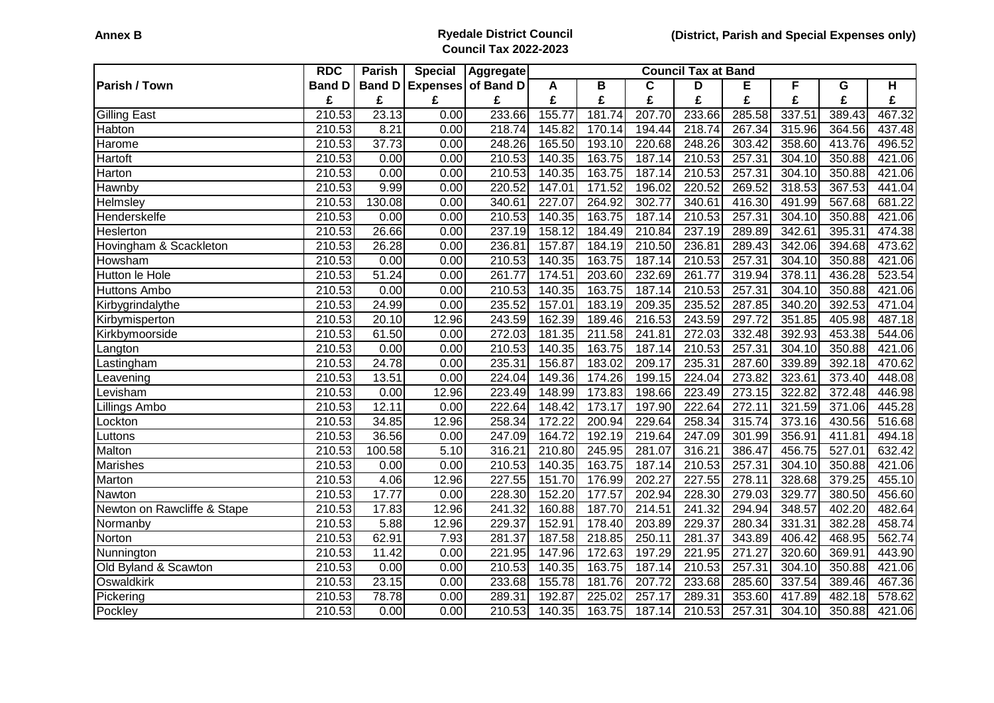## **Annex B Ryedale District Council Council Tax 2022-2023**

|                             | <b>RDC</b>    | Parish        | <b>Special</b> | Aggregate                 | <b>Council Tax at Band</b> |        |             |        |        |        |        |        |
|-----------------------------|---------------|---------------|----------------|---------------------------|----------------------------|--------|-------------|--------|--------|--------|--------|--------|
| <b>Parish / Town</b>        | <b>Band D</b> | <b>Band D</b> |                | <b>Expenses of Band D</b> | A                          | B      | $\mathbf c$ | D      | Е      | F      | G      | H      |
|                             | £             | £             | £              | £                         | £                          | £      | £           | £      | £      | £      | £      | £      |
| <b>Gilling East</b>         | 210.53        | 23.13         | 0.00           | 233.66                    | 155.77                     | 181.74 | 207.70      | 233.66 | 285.58 | 337.51 | 389.43 | 467.32 |
| Habton                      | 210.53        | 8.21          | 0.00           | 218.74                    | 145.82                     | 170.14 | 194.44      | 218.74 | 267.34 | 315.96 | 364.56 | 437.48 |
| Harome                      | 210.53        | 37.73         | 0.00           | 248.26                    | 165.50                     | 193.10 | 220.68      | 248.26 | 303.42 | 358.60 | 413.76 | 496.52 |
| Hartoft                     | 210.53        | 0.00          | 0.00           | 210.53                    | 140.35                     | 163.75 | 187.14      | 210.53 | 257.31 | 304.10 | 350.88 | 421.06 |
| Harton                      | 210.53        | 0.00          | 0.00           | 210.53                    | 140.35                     | 163.75 | 187.14      | 210.53 | 257.31 | 304.10 | 350.88 | 421.06 |
| Hawnby                      | 210.53        | 9.99          | 0.00           | 220.52                    | 147.01                     | 171.52 | 196.02      | 220.52 | 269.52 | 318.53 | 367.53 | 441.04 |
| Helmsley                    | 210.53        | 130.08        | 0.00           | 340.61                    | 227.07                     | 264.92 | 302.77      | 340.61 | 416.30 | 491.99 | 567.68 | 681.22 |
| Henderskelfe                | 210.53        | 0.00          | 0.00           | 210.53                    | 140.35                     | 163.75 | 187.14      | 210.53 | 257.31 | 304.10 | 350.88 | 421.06 |
| Heslerton                   | 210.53        | 26.66         | 0.00           | 237.19                    | 158.12                     | 184.49 | 210.84      | 237.19 | 289.89 | 342.61 | 395.31 | 474.38 |
| Hovingham & Scackleton      | 210.53        | 26.28         | 0.00           | 236.81                    | 157.87                     | 184.19 | 210.50      | 236.81 | 289.43 | 342.06 | 394.68 | 473.62 |
| Howsham                     | 210.53        | 0.00          | 0.00           | 210.53                    | 140.35                     | 163.75 | 187.14      | 210.53 | 257.31 | 304.10 | 350.88 | 421.06 |
| Hutton le Hole              | 210.53        | 51.24         | 0.00           | 261.77                    | 174.51                     | 203.60 | 232.69      | 261.77 | 319.94 | 378.11 | 436.28 | 523.54 |
| <b>Huttons Ambo</b>         | 210.53        | 0.00          | 0.00           | 210.53                    | 140.35                     | 163.75 | 187.14      | 210.53 | 257.31 | 304.10 | 350.88 | 421.06 |
| Kirbygrindalythe            | 210.53        | 24.99         | 0.00           | 235.52                    | 157.01                     | 183.19 | 209.35      | 235.52 | 287.85 | 340.20 | 392.53 | 471.04 |
| Kirbymisperton              | 210.53        | 20.10         | 12.96          | 243.59                    | 162.39                     | 189.46 | 216.53      | 243.59 | 297.72 | 351.85 | 405.98 | 487.18 |
| Kirkbymoorside              | 210.53        | 61.50         | 0.00           | 272.03                    | 181.35                     | 211.58 | 241.81      | 272.03 | 332.48 | 392.93 | 453.38 | 544.06 |
| _angton                     | 210.53        | 0.00          | 0.00           | 210.53                    | 140.35                     | 163.75 | 187.14      | 210.53 | 257.31 | 304.10 | 350.88 | 421.06 |
| Lastingham                  | 210.53        | 24.78         | 0.00           | 235.31                    | 156.87                     | 183.02 | 209.17      | 235.31 | 287.60 | 339.89 | 392.18 | 470.62 |
| Leavening                   | 210.53        | 13.51         | 0.00           | 224.04                    | 149.36                     | 174.26 | 199.15      | 224.04 | 273.82 | 323.61 | 373.40 | 448.08 |
| _evisham                    | 210.53        | 0.00          | 12.96          | 223.49                    | 148.99                     | 173.83 | 198.66      | 223.49 | 273.15 | 322.82 | 372.48 | 446.98 |
| Lillings Ambo               | 210.53        | 12.11         | 0.00           | 222.64                    | 148.42                     | 173.17 | 197.90      | 222.64 | 272.11 | 321.59 | 371.06 | 445.28 |
| Lockton                     | 210.53        | 34.85         | 12.96          | 258.34                    | 172.22                     | 200.94 | 229.64      | 258.34 | 315.74 | 373.16 | 430.56 | 516.68 |
| Luttons                     | 210.53        | 36.56         | 0.00           | 247.09                    | 164.72                     | 192.19 | 219.64      | 247.09 | 301.99 | 356.91 | 411.81 | 494.18 |
| Malton                      | 210.53        | 100.58        | 5.10           | 316.21                    | 210.80                     | 245.95 | 281.07      | 316.21 | 386.47 | 456.75 | 527.01 | 632.42 |
| Marishes                    | 210.53        | 0.00          | 0.00           | 210.53                    | 140.35                     | 163.75 | 187.14      | 210.53 | 257.31 | 304.10 | 350.88 | 421.06 |
| Marton                      | 210.53        | 4.06          | 12.96          | 227.55                    | 151.70                     | 176.99 | 202.27      | 227.55 | 278.11 | 328.68 | 379.25 | 455.10 |
| Nawton                      | 210.53        | 17.77         | 0.00           | 228.30                    | 152.20                     | 177.57 | 202.94      | 228.30 | 279.03 | 329.77 | 380.50 | 456.60 |
| Newton on Rawcliffe & Stape | 210.53        | 17.83         | 12.96          | 241.32                    | 160.88                     | 187.70 | 214.51      | 241.32 | 294.94 | 348.57 | 402.20 | 482.64 |
| Normanby                    | 210.53        | 5.88          | 12.96          | 229.37                    | 152.91                     | 178.40 | 203.89      | 229.37 | 280.34 | 331.31 | 382.28 | 458.74 |
| Norton                      | 210.53        | 62.91         | 7.93           | 281.37                    | 187.58                     | 218.85 | 250.11      | 281.37 | 343.89 | 406.42 | 468.95 | 562.74 |
| Nunnington                  | 210.53        | 11.42         | 0.00           | 221.95                    | 147.96                     | 172.63 | 197.29      | 221.95 | 271.27 | 320.60 | 369.91 | 443.90 |
| Old Byland & Scawton        | 210.53        | 0.00          | 0.00           | 210.53                    | 140.35                     | 163.75 | 187.14      | 210.53 | 257.31 | 304.10 | 350.88 | 421.06 |
| Oswaldkirk                  | 210.53        | 23.15         | 0.00           | 233.68                    | 155.78                     | 181.76 | 207.72      | 233.68 | 285.60 | 337.54 | 389.46 | 467.36 |
| Pickering                   | 210.53        | 78.78         | 0.00           | 289.31                    | 192.87                     | 225.02 | 257.17      | 289.31 | 353.60 | 417.89 | 482.18 | 578.62 |
| Pockley                     | 210.53        | 0.00          | 0.00           | 210.53                    | 140.35                     | 163.75 | 187.14      | 210.53 | 257.31 | 304.10 | 350.88 | 421.06 |